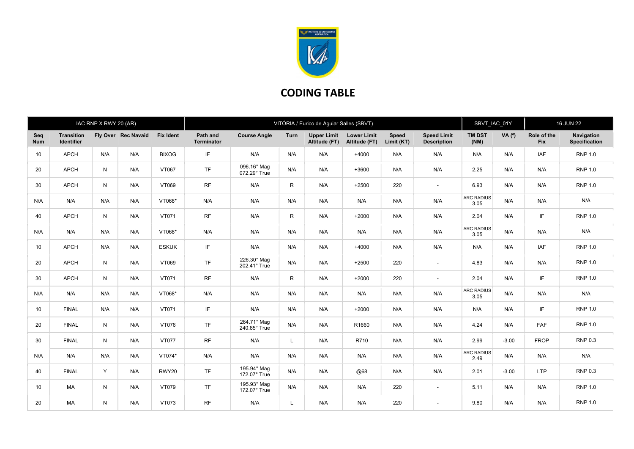

## CODING TABLE

|                   |                                 | IAC RNP X RWY 20 (AR) |                     |                  |                        |                             | VITÓRIA / Eurico de Aguiar Salles (SBVT) | SBVT IAC 01Y                        |                                     | <b>16 JUN 22</b>           |                                          |                           |         |                           |                                    |
|-------------------|---------------------------------|-----------------------|---------------------|------------------|------------------------|-----------------------------|------------------------------------------|-------------------------------------|-------------------------------------|----------------------------|------------------------------------------|---------------------------|---------|---------------------------|------------------------------------|
| Sea<br><b>Num</b> | <b>Transition</b><br>Identifier |                       | Fly Over Rec Navaid | <b>Fix Ident</b> | Path and<br>Terminator | <b>Course Angle</b>         | Turn                                     | <b>Upper Limit</b><br>Altitude (FT) | <b>Lower Limit</b><br>Altitude (FT) | <b>Speed</b><br>Limit (KT) | <b>Speed Limit</b><br><b>Description</b> | <b>TM DST</b><br>(NM)     | VA (°)  | Role of the<br><b>Fix</b> | Navigation<br><b>Specification</b> |
| 10                | <b>APCH</b>                     | N/A                   | N/A                 | <b>BIXOG</b>     | IF                     | N/A                         | N/A                                      | N/A                                 | $+4000$                             | N/A                        | N/A                                      | N/A                       | N/A     | <b>IAF</b>                | <b>RNP 1.0</b>                     |
| 20                | <b>APCH</b>                     | N                     | N/A                 | VT067            | <b>TF</b>              | 096.16° Mag<br>072.29° True | N/A                                      | N/A                                 | $+3600$                             | N/A                        | N/A                                      | 2.25                      | N/A     | N/A                       | <b>RNP 1.0</b>                     |
| 30                | <b>APCH</b>                     | N                     | N/A                 | VT069            | <b>RF</b>              | N/A                         | $\mathsf{R}$                             | N/A                                 | $+2500$                             | 220                        | $\sim$                                   | 6.93                      | N/A     | N/A                       | <b>RNP 1.0</b>                     |
| N/A               | N/A                             | N/A                   | N/A                 | VT068*           | N/A                    | N/A                         | N/A                                      | N/A                                 | N/A                                 | N/A                        | N/A                                      | <b>ARC RADIUS</b><br>3.05 | N/A     | N/A                       | N/A                                |
| 40                | <b>APCH</b>                     | N                     | N/A                 | VT071            | <b>RF</b>              | N/A                         | $\mathsf{R}$                             | N/A                                 | $+2000$                             | N/A                        | N/A                                      | 2.04                      | N/A     | IF                        | <b>RNP 1.0</b>                     |
| N/A               | N/A                             | N/A                   | N/A                 | VT068*           | N/A                    | N/A                         | N/A                                      | N/A                                 | N/A                                 | N/A                        | N/A                                      | <b>ARC RADIUS</b><br>3.05 | N/A     | N/A                       | N/A                                |
| 10                | <b>APCH</b>                     | N/A                   | N/A                 | <b>ESKUK</b>     | IF                     | N/A                         | N/A                                      | N/A                                 | $+4000$                             | N/A                        | N/A                                      | N/A                       | N/A     | <b>IAF</b>                | <b>RNP 1.0</b>                     |
| 20                | <b>APCH</b>                     | N                     | N/A                 | VT069            | <b>TF</b>              | 226.30° Mag<br>202.41° True | N/A                                      | N/A                                 | $+2500$                             | 220                        | $\overline{\phantom{a}}$                 | 4.83                      | N/A     | N/A                       | <b>RNP 1.0</b>                     |
| 30                | <b>APCH</b>                     | N                     | N/A                 | VT071            | <b>RF</b>              | N/A                         | $\mathsf{R}$                             | N/A                                 | $+2000$                             | 220                        | $\overline{\phantom{a}}$                 | 2.04                      | N/A     | IF                        | <b>RNP 1.0</b>                     |
| N/A               | N/A                             | N/A                   | N/A                 | VT068*           | N/A                    | N/A                         | N/A                                      | N/A                                 | N/A                                 | N/A                        | N/A                                      | <b>ARC RADIUS</b><br>3.05 | N/A     | N/A                       | N/A                                |
| 10                | <b>FINAL</b>                    | N/A                   | N/A                 | VT071            | IF                     | N/A                         | N/A                                      | N/A                                 | $+2000$                             | N/A                        | N/A                                      | N/A                       | N/A     | IF                        | <b>RNP 1.0</b>                     |
| 20                | <b>FINAL</b>                    | N                     | N/A                 | VT076            | <b>TF</b>              | 264.71° Mag<br>240.85° True | N/A                                      | N/A                                 | R1660                               | N/A                        | N/A                                      | 4.24                      | N/A     | <b>FAF</b>                | <b>RNP 1.0</b>                     |
| 30                | <b>FINAL</b>                    | N                     | N/A                 | <b>VT077</b>     | <b>RF</b>              | N/A                         | L                                        | N/A                                 | R710                                | N/A                        | N/A                                      | 2.99                      | $-3.00$ | <b>FROP</b>               | <b>RNP 0.3</b>                     |
| N/A               | N/A                             | N/A                   | N/A                 | VT074*           | N/A                    | N/A                         | N/A                                      | N/A                                 | N/A                                 | N/A                        | N/A                                      | <b>ARC RADIUS</b><br>2.49 | N/A     | N/A                       | N/A                                |
| 40                | <b>FINAL</b>                    | Y                     | N/A                 | RWY20            | <b>TF</b>              | 195.94° Mag<br>172.07° True | N/A                                      | N/A                                 | @68                                 | N/A                        | N/A                                      | 2.01                      | $-3.00$ | <b>LTP</b>                | <b>RNP 0.3</b>                     |
| 10                | <b>MA</b>                       | N                     | N/A                 | VT079            | <b>TF</b>              | 195.93° Mag<br>172.07° True | N/A                                      | N/A                                 | N/A                                 | 220                        | $\overline{\phantom{a}}$                 | 5.11                      | N/A     | N/A                       | <b>RNP 1.0</b>                     |
| 20                | <b>MA</b>                       | N                     | N/A                 | VT073            | <b>RF</b>              | N/A                         | L                                        | N/A                                 | N/A                                 | 220                        | $\overline{\phantom{a}}$                 | 9.80                      | N/A     | N/A                       | <b>RNP 1.0</b>                     |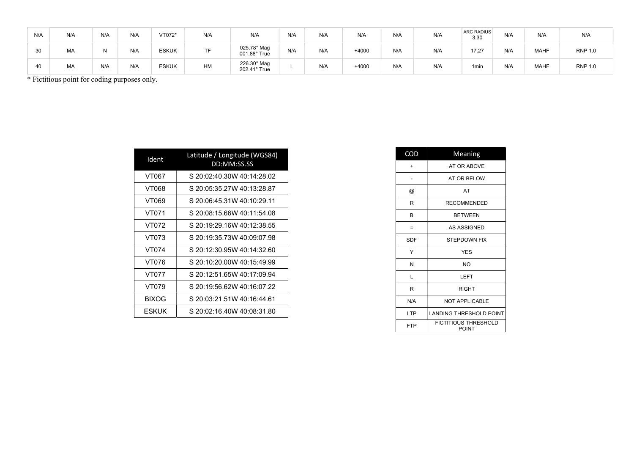| N/A | N/A | N/A | N/A | VT072*       | N/A | N/A                                | N/A | N/A | N/A     | N/A | N/A | <b>ARC RADIUS</b><br>3.30 | N/A | N/A         | N/A            |
|-----|-----|-----|-----|--------------|-----|------------------------------------|-----|-----|---------|-----|-----|---------------------------|-----|-------------|----------------|
| 30  | MA  |     | N/A | <b>ESKUK</b> | TF  | 025.78° Mag<br>001.88° True        | N/A | N/A | $+4000$ | N/A | N/A | 17.27                     | N/A | <b>MAHF</b> | <b>RNP 1.0</b> |
| 40  | MA  | N/A | N/A | <b>ESKUK</b> | HM  | $226.30^\circ$ Mag<br>202.41° True |     | N/A | $+4000$ | N/A | N/A | 1 <sub>min</sub>          | N/A | <b>MAHF</b> | <b>RNP 1.0</b> |

\* Fictitious point for coding purposes only.

| Ident        | Latitude / Longitude (WGS84)<br>DD:MM:SS.SS |
|--------------|---------------------------------------------|
| VT067        | S 20:02:40.30W 40:14:28.02                  |
| VT068        | S 20:05:35.27W 40:13:28.87                  |
| VT069        | S 20:06:45.31W 40:10:29.11                  |
| VT071        | S 20:08:15.66W 40:11:54.08                  |
| VT072        | S 20:19:29.16W 40:12:38.55                  |
| VT073        | S 20:19:35.73W 40:09:07.98                  |
| VT074        | S 20:12:30.95W 40:14:32.60                  |
| VT076        | S 20:10:20.00W 40:15:49.99                  |
| VT077        | S 20:12:51.65W 40:17:09.94                  |
| VT079        | S 20:19:56.62W 40:16:07.22                  |
| <b>BIXOG</b> | S 20:03:21.51W 40:16:44.61                  |
| ESKUK        | S 20:02:16.40W 40:08:31.80                  |

| COD        | Meaning                                     |
|------------|---------------------------------------------|
| $\ddot{}$  | AT OR ABOVE                                 |
|            | AT OR BELOW                                 |
| @          | AT                                          |
| R          | <b>RECOMMENDED</b>                          |
| в          | <b>BETWEEN</b>                              |
| $=$        | AS ASSIGNED                                 |
| SDF        | <b>STEPDOWN FIX</b>                         |
| Y          | <b>YES</b>                                  |
| N          | NO.                                         |
| L          | LEFT                                        |
| R          | <b>RIGHT</b>                                |
| N/A        | <b>NOT APPLICABLE</b>                       |
| LTP        | <b>LANDING THRESHOLD POINT</b>              |
| <b>FTP</b> | <b>FICTITIOUS THRESHOLD</b><br><b>POINT</b> |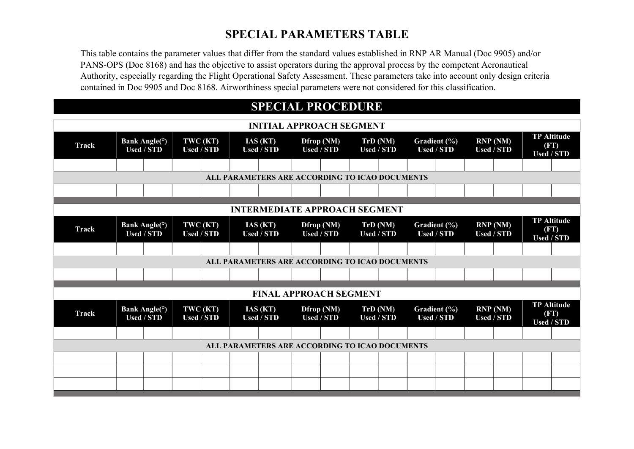## SPECIAL PARAMETERS TABLE

This table contains the parameter values that differ from the standard values established in RNP AR Manual (Doc 9905) and/or PANS-OPS (Doc 8168) and has the objective to assist operators during the approval process by the competent Aeronautical Authority, especially regarding the Flight Operational Safety Assessment. These parameters take into account only design criteria contained in Doc 9905 and Doc 8168. Airworthiness special parameters were not considered for this classification.

## SPECIAL PROCEDURE

| <b>INITIAL APPROACH SEGMENT</b>                |                                      |                                                 |                   |                               |  |                                                |                                 |            |  |                               |                                   |                   |                              |                                                 |  |
|------------------------------------------------|--------------------------------------|-------------------------------------------------|-------------------|-------------------------------|--|------------------------------------------------|---------------------------------|------------|--|-------------------------------|-----------------------------------|-------------------|------------------------------|-------------------------------------------------|--|
| <b>Track</b>                                   |                                      | Bank Angle( <sup>o</sup> )<br><b>Used / STD</b> |                   | TWC (KT)<br><b>Used / STD</b> |  | IAS(KT)<br><b>Used / STD</b>                   | <b>Used / STD</b>               | Dfrop (NM) |  | TrD (NM)<br><b>Used / STD</b> | Gradient (%)<br><b>Used / STD</b> |                   | RNP(NM)<br><b>Used / STD</b> | <b>TP Altitude</b><br>(FT)<br><b>Used / STD</b> |  |
|                                                |                                      |                                                 |                   |                               |  |                                                |                                 |            |  |                               |                                   |                   |                              |                                                 |  |
| ALL PARAMETERS ARE ACCORDING TO ICAO DOCUMENTS |                                      |                                                 |                   |                               |  |                                                |                                 |            |  |                               |                                   |                   |                              |                                                 |  |
|                                                |                                      |                                                 |                   |                               |  |                                                |                                 |            |  |                               |                                   |                   |                              |                                                 |  |
|                                                | <b>INTERMEDIATE APPROACH SEGMENT</b> |                                                 |                   |                               |  |                                                |                                 |            |  |                               |                                   |                   |                              |                                                 |  |
|                                                |                                      |                                                 |                   |                               |  |                                                |                                 |            |  |                               |                                   |                   |                              | <b>TP</b> Altitude                              |  |
| <b>Track</b>                                   |                                      | Bank Angle( <sup>o</sup> )<br><b>Used / STD</b> |                   | TWC (KT)<br><b>Used / STD</b> |  | IAS(KT)<br><b>Used / STD</b>                   | Dfrop (NM)<br><b>Used / STD</b> |            |  | TrD (NM)<br><b>Used / STD</b> | Gradient (%)<br><b>Used / STD</b> | <b>Used / STD</b> | RNP(NM)                      | (FT)<br><b>Used / STD</b>                       |  |
|                                                |                                      |                                                 |                   |                               |  |                                                |                                 |            |  |                               |                                   |                   |                              |                                                 |  |
|                                                |                                      |                                                 |                   |                               |  | ALL PARAMETERS ARE ACCORDING TO ICAO DOCUMENTS |                                 |            |  |                               |                                   |                   |                              |                                                 |  |
|                                                |                                      |                                                 |                   |                               |  |                                                |                                 |            |  |                               |                                   |                   |                              |                                                 |  |
|                                                |                                      |                                                 |                   |                               |  | <b>FINAL APPROACH SEGMENT</b>                  |                                 |            |  |                               |                                   |                   |                              |                                                 |  |
|                                                |                                      |                                                 |                   |                               |  |                                                |                                 |            |  |                               |                                   |                   |                              | <b>TP Altitude</b>                              |  |
| <b>Track</b>                                   |                                      | <b>Bank Angle(°)</b><br><b>Used / STD</b>       | <b>Used / STD</b> | TWC (KT)                      |  | IAS(KT)<br><b>Used / STD</b>                   | <b>Used / STD</b>               | Dfrop (NM) |  | TrD(NM)<br><b>Used / STD</b>  | Gradient (%)<br><b>Used / STD</b> | <b>Used / STD</b> | RNP(NM)                      | (FT)<br><b>Used / STD</b>                       |  |
|                                                |                                      |                                                 |                   |                               |  |                                                |                                 |            |  |                               |                                   |                   |                              |                                                 |  |
| ALL PARAMETERS ARE ACCORDING TO ICAO DOCUMENTS |                                      |                                                 |                   |                               |  |                                                |                                 |            |  |                               |                                   |                   |                              |                                                 |  |
|                                                |                                      |                                                 |                   |                               |  |                                                |                                 |            |  |                               |                                   |                   |                              |                                                 |  |
|                                                |                                      |                                                 |                   |                               |  |                                                |                                 |            |  |                               |                                   |                   |                              |                                                 |  |
|                                                |                                      |                                                 |                   |                               |  |                                                |                                 |            |  |                               |                                   |                   |                              |                                                 |  |